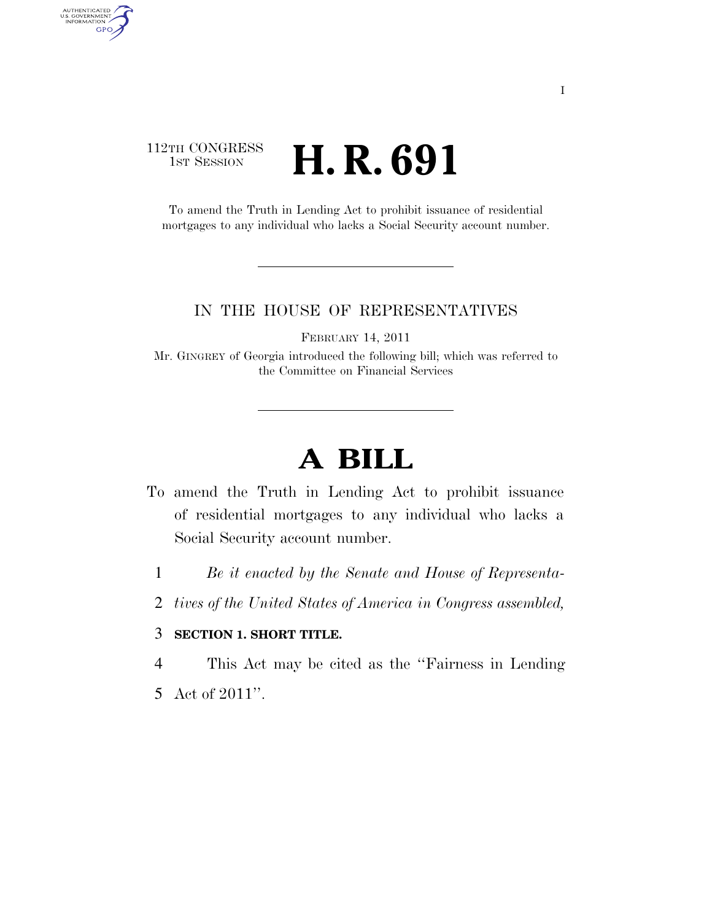### 112TH CONGRESS **1st Session H. R. 691**

AUTHENTICATED<br>U.S. GOVERNMENT<br>INFORMATION

**GPO** 

To amend the Truth in Lending Act to prohibit issuance of residential mortgages to any individual who lacks a Social Security account number.

#### IN THE HOUSE OF REPRESENTATIVES

FEBRUARY 14, 2011

Mr. GINGREY of Georgia introduced the following bill; which was referred to the Committee on Financial Services

# **A BILL**

- To amend the Truth in Lending Act to prohibit issuance of residential mortgages to any individual who lacks a Social Security account number.
	- 1 *Be it enacted by the Senate and House of Representa-*
	- 2 *tives of the United States of America in Congress assembled,*

#### 3 **SECTION 1. SHORT TITLE.**

4 This Act may be cited as the ''Fairness in Lending

5 Act of 2011''.